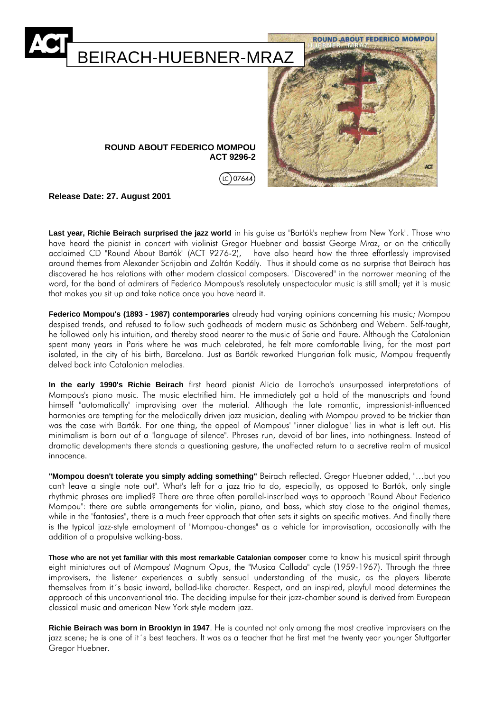

**Release Date: 27. August 2001**

**Last year, Richie Beirach surprised the jazz world** in his guise as "Bartók's nephew from New York". Those who have heard the pianist in concert with violinist Gregor Huebner and bassist George Mraz, or on the critically acclaimed CD "Round About Bartók" (ACT 9276-2), have also heard how the three effortlessly improvised around themes from Alexander Scrijabin and Zoltán Kodály. Thus it should come as no surprise that Beirach has discovered he has relations with other modern classical composers. "Discovered" in the narrower meaning of the word, for the band of admirers of Federico Mompous's resolutely unspectacular music is still small; yet it is music that makes you sit up and take notice once you have heard it.

**Federico Mompou's (1893 - 1987) contemporaries** already had varying opinions concerning his music; Mompou despised trends, and refused to follow such godheads of modern music as Schönberg and Webern. Self-taught, he followed only his intuition, and thereby stood nearer to the music of Satie and Faure. Although the Catalonian spent many years in Paris where he was much celebrated, he felt more comfortable living, for the most part isolated, in the city of his birth, Barcelona. Just as Bartók reworked Hungarian folk music, Mompou frequently delved back into Catalonian melodies.

**In the early 1990's Richie Beirach** first heard pianist Alicia de Larrocha's unsurpassed interpretations of Mompous's piano music. The music electrified him. He immediately got a hold of the manuscripts and found himself "automatically" improvising over the material. Although the late romantic, impressionist-influenced harmonies are tempting for the melodically driven jazz musician, dealing with Mompou proved to be trickier than was the case with Bartók. For one thing, the appeal of Mompous' "inner dialogue" lies in what is left out. His minimalism is born out of a "language of silence". Phrases run, devoid of bar lines, into nothingness. Instead of dramatic developments there stands a questioning gesture, the unaffected return to a secretive realm of musical innocence.

**"Mompou doesn't tolerate you simply adding something"** Beirach reflected. Gregor Huebner added, "…but you can't leave a single note out". What's left for a jazz trio to do, especially, as opposed to Bartók, only single rhythmic phrases are implied? There are three often parallel-inscribed ways to approach "Round About Federico Mompou": there are subtle arrangements for violin, piano, and bass, which stay close to the original themes, while in the "fantasies", there is a much freer approach that often sets it sights on specific motives. And finally there is the typical jazz-style employment of "Mompou-changes" as a vehicle for improvisation, occasionally with the addition of a propulsive walking-bass.

**Those who are not yet familiar with this most remarkable Catalonian composer** come to know his musical spirit through eight miniatures out of Mompous' Magnum Opus, the "Musica Callada" cycle (1959-1967). Through the three improvisers, the listener experiences a subtly sensual understanding of the music, as the players liberate themselves from it´s basic inward, ballad-like character. Respect, and an inspired, playful mood determines the approach of this unconventional trio. The deciding impulse for their jazz-chamber sound is derived from European classical music and american New York style modern jazz.

**Richie Beirach was born in Brooklyn in 1947**. He is counted not only among the most creative improvisers on the jazz scene; he is one of it´s best teachers. It was as a teacher that he first met the twenty year younger Stuttgarter Gregor Huebner.